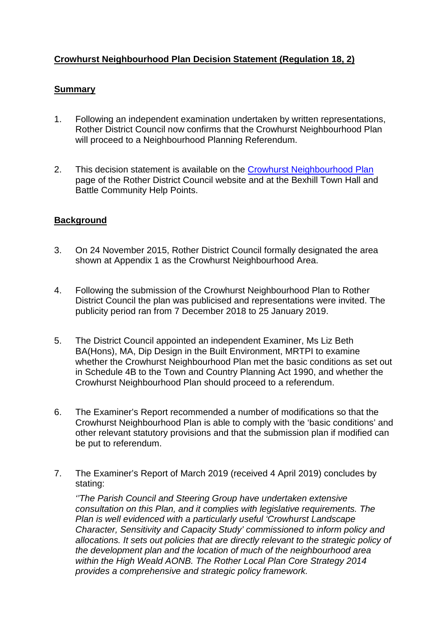## **Crowhurst Neighbourhood Plan Decision Statement (Regulation 18, 2)**

## **Summary**

- 1. Following an independent examination undertaken by written representations, Rother District Council now confirms that the Crowhurst Neighbourhood Plan will proceed to a Neighbourhood Planning Referendum.
- 2. This decision statement is available on the [Crowhurst Neighbourhood Plan](http://www.rother.gov.uk/Crowhurst-Neighbourhood-Plan) page of the Rother District Council website and at the Bexhill Town Hall and Battle Community Help Points.

## **Background**

- 3. On 24 November 2015, Rother District Council formally designated the area shown at Appendix 1 as the Crowhurst Neighbourhood Area.
- 4. Following the submission of the Crowhurst Neighbourhood Plan to Rother District Council the plan was publicised and representations were invited. The publicity period ran from 7 December 2018 to 25 January 2019.
- 5. The District Council appointed an independent Examiner, Ms Liz Beth BA(Hons), MA, Dip Design in the Built Environment, MRTPI to examine whether the Crowhurst Neighbourhood Plan met the basic conditions as set out in Schedule 4B to the Town and Country Planning Act 1990, and whether the Crowhurst Neighbourhood Plan should proceed to a referendum.
- 6. The Examiner's Report recommended a number of modifications so that the Crowhurst Neighbourhood Plan is able to comply with the 'basic conditions' and other relevant statutory provisions and that the submission plan if modified can be put to referendum.
- 7. The Examiner's Report of March 2019 (received 4 April 2019) concludes by stating:

*''The Parish Council and Steering Group have undertaken extensive consultation on this Plan, and it complies with legislative requirements. The Plan is well evidenced with a particularly useful 'Crowhurst Landscape Character, Sensitivity and Capacity Study' commissioned to inform policy and allocations. It sets out policies that are directly relevant to the strategic policy of the development plan and the location of much of the neighbourhood area within the High Weald AONB. The Rother Local Plan Core Strategy 2014 provides a comprehensive and strategic policy framework.*